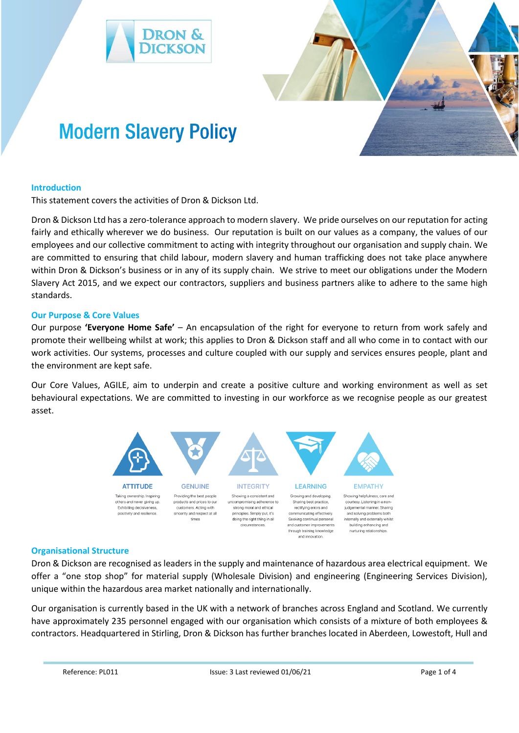



# **Introduction**

This statement covers the activities of Dron & Dickson Ltd.

**Modern Slavery Policy** 

Dron & Dickson Ltd has a zero-tolerance approach to modern slavery. We pride ourselves on our reputation for acting fairly and ethically wherever we do business. Our reputation is built on our values as a company, the values of our employees and our collective commitment to acting with integrity throughout our organisation and supply chain. We are committed to ensuring that child labour, modern slavery and human trafficking does not take place anywhere within Dron & Dickson's business or in any of its supply chain. We strive to meet our obligations under the Modern Slavery Act 2015, and we expect our contractors, suppliers and business partners alike to adhere to the same high standards.

## **Our Purpose & Core Values**

Our purpose **'Everyone Home Safe'** – An encapsulation of the right for everyone to return from work safely and promote their wellbeing whilst at work; this applies to Dron & Dickson staff and all who come in to contact with our work activities. Our systems, processes and culture coupled with our supply and services ensures people, plant and the environment are kept safe.

Our Core Values, AGILE, aim to underpin and create a positive culture and working environment as well as set behavioural expectations. We are committed to investing in our workforce as we recognise people as our greatest asset.



## **Organisational Structure**

Dron & Dickson are recognised as leaders in the supply and maintenance of hazardous area electrical equipment. We offer a "one stop shop" for material supply (Wholesale Division) and engineering (Engineering Services Division), unique within the hazardous area market nationally and internationally.

Our organisation is currently based in the UK with a network of branches across England and Scotland. We currently have approximately 235 personnel engaged with our organisation which consists of a mixture of both employees & contractors. Headquartered in Stirling, Dron & Dickson has further branches located in Aberdeen, Lowestoft, Hull and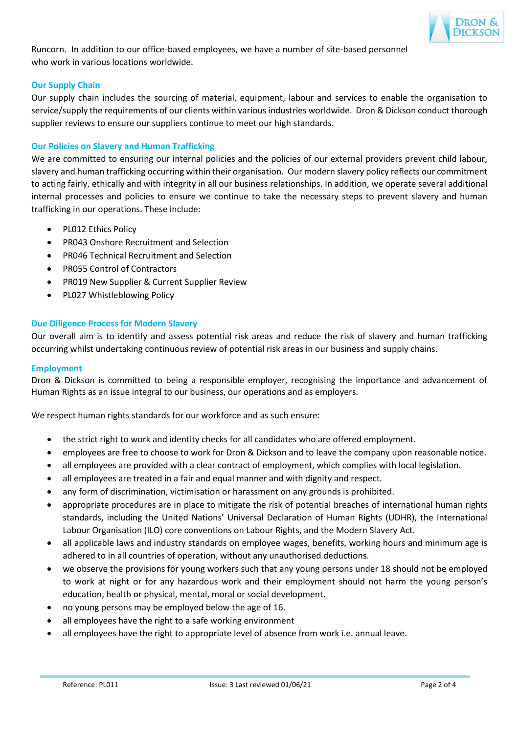

Runcorn. In addition to our office-based employees, we have a number of site-based personnel who work in various locations worldwide.

# **Our Supply Chain**

Our supply chain includes the sourcing of material, equipment, labour and services to enable the organisation to service/supply the requirements of our clients within various industries worldwide. Dron & Dickson conduct thorough supplier reviews to ensure our suppliers continue to meet our high standards.

# **Our Policies on Slavery and Human Trafficking**

We are committed to ensuring our internal policies and the policies of our external providers prevent child labour, slavery and human trafficking occurring within their organisation. Our modern slavery policy reflects our commitment to acting fairly, ethically and with integrity in all our business relationships. In addition, we operate several additional internal processes and policies to ensure we continue to take the necessary steps to prevent slavery and human trafficking in our operations. These include:

- PL012 Ethics Policy
- PR043 Onshore Recruitment and Selection
- PR046 Technical Recruitment and Selection
- PR055 Control of Contractors
- PR019 New Supplier & Current Supplier Review
- PL027 Whistleblowing Policy

## **Due Diligence Process for Modern Slavery**

Our overall aim is to identify and assess potential risk areas and reduce the risk of slavery and human trafficking occurring whilst undertaking continuous review of potential risk areas in our business and supply chains.

## **Employment**

Dron & Dickson is committed to being a responsible employer, recognising the importance and advancement of Human Rights as an issue integral to our business, our operations and as employers.

We respect human rights standards for our workforce and as such ensure:

- the strict right to work and identity checks for all candidates who are offered employment.
- employees are free to choose to work for Dron & Dickson and to leave the company upon reasonable notice.
- all employees are provided with a clear contract of employment, which complies with local legislation.
- all employees are treated in a fair and equal manner and with dignity and respect.
- any form of discrimination, victimisation or harassment on any grounds is prohibited.
- appropriate procedures are in place to mitigate the risk of potential breaches of international human rights standards, including the United Nations' Universal Declaration of Human Rights (UDHR), the International Labour Organisation (ILO) core conventions on Labour Rights, and the Modern Slavery Act.
- all applicable laws and industry standards on employee wages, benefits, working hours and minimum age is adhered to in all countries of operation, without any unauthorised deductions.
- we observe the provisions for young workers such that any young persons under 18 should not be employed to work at night or for any hazardous work and their employment should not harm the young person's education, health or physical, mental, moral or social development.
- no young persons may be employed below the age of 16.
- all employees have the right to a safe working environment
- all employees have the right to appropriate level of absence from work i.e. annual leave.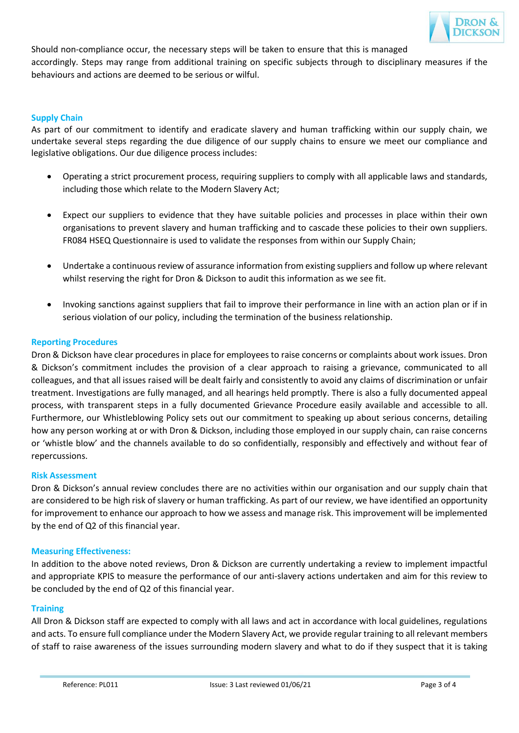

Should non-compliance occur, the necessary steps will be taken to ensure that this is managed accordingly. Steps may range from additional training on specific subjects through to disciplinary measures if the behaviours and actions are deemed to be serious or wilful.

# **Supply Chain**

As part of our commitment to identify and eradicate slavery and human trafficking within our supply chain, we undertake several steps regarding the due diligence of our supply chains to ensure we meet our compliance and legislative obligations. Our due diligence process includes:

- Operating a strict procurement process, requiring suppliers to comply with all applicable laws and standards, including those which relate to the Modern Slavery Act;
- Expect our suppliers to evidence that they have suitable policies and processes in place within their own organisations to prevent slavery and human trafficking and to cascade these policies to their own suppliers. FR084 HSEQ Questionnaire is used to validate the responses from within our Supply Chain;
- Undertake a continuous review of assurance information from existing suppliers and follow up where relevant whilst reserving the right for Dron & Dickson to audit this information as we see fit.
- Invoking sanctions against suppliers that fail to improve their performance in line with an action plan or if in serious violation of our policy, including the termination of the business relationship.

## **Reporting Procedures**

Dron & Dickson have clear procedures in place for employees to raise concerns or complaints about work issues. Dron & Dickson's commitment includes the provision of a clear approach to raising a grievance, communicated to all colleagues, and that all issues raised will be dealt fairly and consistently to avoid any claims of discrimination or unfair treatment. Investigations are fully managed, and all hearings held promptly. There is also a fully documented appeal process, with transparent steps in a fully documented Grievance Procedure easily available and accessible to all. Furthermore, our Whistleblowing Policy sets out our commitment to speaking up about serious concerns, detailing how any person working at or with Dron & Dickson, including those employed in our supply chain, can raise concerns or 'whistle blow' and the channels available to do so confidentially, responsibly and effectively and without fear of repercussions.

## **Risk Assessment**

Dron & Dickson's annual review concludes there are no activities within our organisation and our supply chain that are considered to be high risk of slavery or human trafficking. As part of our review, we have identified an opportunity for improvement to enhance our approach to how we assess and manage risk. This improvement will be implemented by the end of Q2 of this financial year.

## **Measuring Effectiveness:**

In addition to the above noted reviews, Dron & Dickson are currently undertaking a review to implement impactful and appropriate KPIS to measure the performance of our anti-slavery actions undertaken and aim for this review to be concluded by the end of Q2 of this financial year.

## **Training**

All Dron & Dickson staff are expected to comply with all laws and act in accordance with local guidelines, regulations and acts. To ensure full compliance under the Modern Slavery Act, we provide regular training to all relevant members of staff to raise awareness of the issues surrounding modern slavery and what to do if they suspect that it is taking